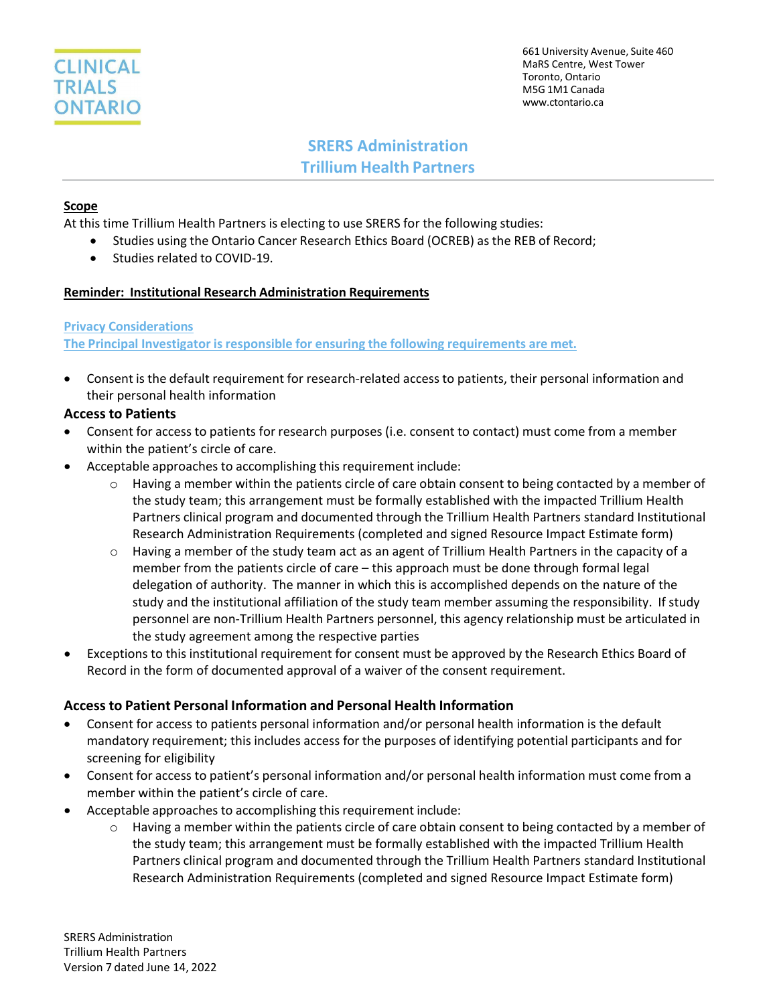

## **SRERS Administration Trillium Health Partners**

#### **Scope**

At this time Trillium Health Partners is electing to use SRERS for the following studies:

- Studies using the Ontario Cancer Research Ethics Board (OCREB) as the REB of Record;
- Studies related to COVID-19.

#### **Reminder: Institutional Research Administration Requirements**

#### **Privacy Considerations**

**The Principal Investigator is responsible for ensuring the following requirements are met.**

• Consent is the default requirement for research-related access to patients, their personal information and their personal health information

#### **Access to Patients**

- Consent for access to patients for research purposes (i.e. consent to contact) must come from a member within the patient's circle of care.
- Acceptable approaches to accomplishing this requirement include:
	- $\circ$  Having a member within the patients circle of care obtain consent to being contacted by a member of the study team; this arrangement must be formally established with the impacted Trillium Health Partners clinical program and documented through the Trillium Health Partners standard Institutional Research Administration Requirements (completed and signed Resource Impact Estimate form)
	- $\circ$  Having a member of the study team act as an agent of Trillium Health Partners in the capacity of a member from the patients circle of care – this approach must be done through formal legal delegation of authority. The manner in which this is accomplished depends on the nature of the study and the institutional affiliation of the study team member assuming the responsibility. If study personnel are non-Trillium Health Partners personnel, this agency relationship must be articulated in the study agreement among the respective parties
- Exceptions to this institutional requirement for consent must be approved by the Research Ethics Board of Record in the form of documented approval of a waiver of the consent requirement.

#### **Access to Patient Personal Information and Personal Health Information**

- Consent for access to patients personal information and/or personal health information is the default mandatory requirement; this includes access for the purposes of identifying potential participants and for screening for eligibility
- Consent for access to patient's personal information and/or personal health information must come from a member within the patient's circle of care.
- Acceptable approaches to accomplishing this requirement include:
	- $\circ$  Having a member within the patients circle of care obtain consent to being contacted by a member of the study team; this arrangement must be formally established with the impacted Trillium Health Partners clinical program and documented through the Trillium Health Partners standard Institutional Research Administration Requirements (completed and signed Resource Impact Estimate form)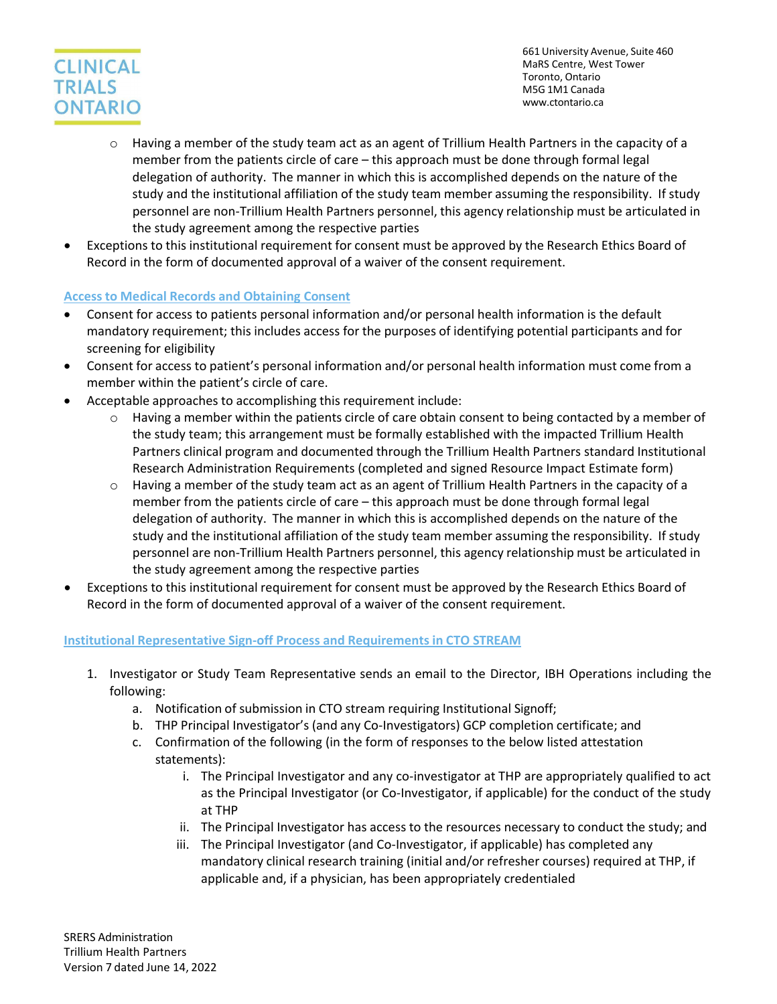# **CLINICAL TRIALS ONTARIO**

661 University Avenue, Suite 460 MaRS Centre, West Tower Toronto, Ontario M5G 1M1 Canada [www.ctontario.ca](http://www.ctontario.ca/)

- $\circ$  Having a member of the study team act as an agent of Trillium Health Partners in the capacity of a member from the patients circle of care – this approach must be done through formal legal delegation of authority. The manner in which this is accomplished depends on the nature of the study and the institutional affiliation of the study team member assuming the responsibility. If study personnel are non-Trillium Health Partners personnel, this agency relationship must be articulated in the study agreement among the respective parties
- Exceptions to this institutional requirement for consent must be approved by the Research Ethics Board of Record in the form of documented approval of a waiver of the consent requirement.

## **Access to Medical Records and Obtaining Consent**

- Consent for access to patients personal information and/or personal health information is the default mandatory requirement; this includes access for the purposes of identifying potential participants and for screening for eligibility
- Consent for access to patient's personal information and/or personal health information must come from a member within the patient's circle of care.
- Acceptable approaches to accomplishing this requirement include:
	- $\circ$  Having a member within the patients circle of care obtain consent to being contacted by a member of the study team; this arrangement must be formally established with the impacted Trillium Health Partners clinical program and documented through the Trillium Health Partners standard Institutional Research Administration Requirements (completed and signed Resource Impact Estimate form)
	- $\circ$  Having a member of the study team act as an agent of Trillium Health Partners in the capacity of a member from the patients circle of care – this approach must be done through formal legal delegation of authority. The manner in which this is accomplished depends on the nature of the study and the institutional affiliation of the study team member assuming the responsibility. If study personnel are non-Trillium Health Partners personnel, this agency relationship must be articulated in the study agreement among the respective parties
- Exceptions to this institutional requirement for consent must be approved by the Research Ethics Board of Record in the form of documented approval of a waiver of the consent requirement.

## **Institutional Representative Sign-off Process and Requirements in CTO STREAM**

- 1. Investigator or Study Team Representative sends an email to the Director, IBH Operations including the following:
	- a. Notification of submission in CTO stream requiring Institutional Signoff;
	- b. THP Principal Investigator's (and any Co-Investigators) GCP completion certificate; and
	- c. Confirmation of the following (in the form of responses to the below listed attestation statements):
		- i. The Principal Investigator and any co-investigator at THP are appropriately qualified to act as the Principal Investigator (or Co-Investigator, if applicable) for the conduct of the study at THP
		- ii. The Principal Investigator has access to the resources necessary to conduct the study; and
		- iii. The Principal Investigator (and Co-Investigator, if applicable) has completed any mandatory clinical research training (initial and/or refresher courses) required at THP, if applicable and, if a physician, has been appropriately credentialed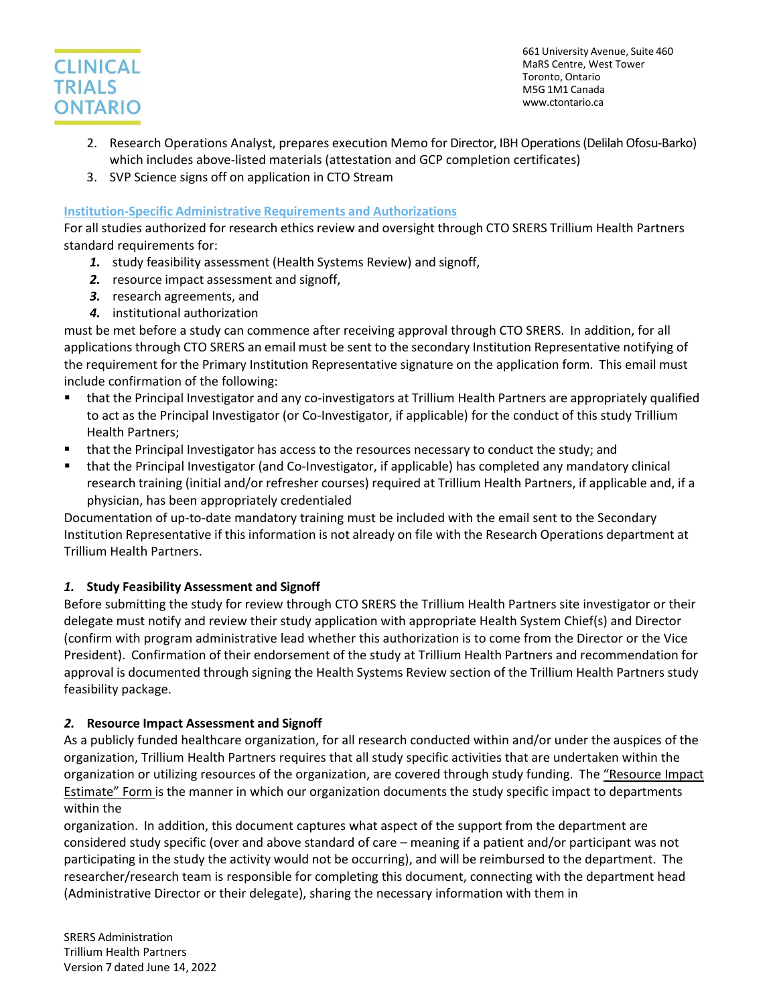

- 2. Research Operations Analyst, prepares execution Memo for Director, IBH Operations (Delilah Ofosu-Barko) which includes above-listed materials (attestation and GCP completion certificates)
- 3. SVP Science signs off on application in CTO Stream

#### **Institution-Specific Administrative Requirements and Authorizations**

For all studies authorized for research ethics review and oversight through CTO SRERS Trillium Health Partners standard requirements for:

- *1.* study feasibility assessment (Health Systems Review) and signoff,
- *2.* resource impact assessment and signoff,
- *3.* research agreements, and
- *4.* institutional authorization

must be met before a study can commence after receiving approval through CTO SRERS. In addition, for all applications through CTO SRERS an email must be sent to the secondary Institution Representative notifying of the requirement for the Primary Institution Representative signature on the application form. This email must include confirmation of the following:

- that the Principal Investigator and any co-investigators at Trillium Health Partners are appropriately qualified to act as the Principal Investigator (or Co-Investigator, if applicable) for the conduct of this study Trillium Health Partners;
- that the Principal Investigator has access to the resources necessary to conduct the study; and
- that the Principal Investigator (and Co-Investigator, if applicable) has completed any mandatory clinical research training (initial and/or refresher courses) required at Trillium Health Partners, if applicable and, if a physician, has been appropriately credentialed

Documentation of up-to-date mandatory training must be included with the email sent to the Secondary Institution Representative if this information is not already on file with the Research Operations department at Trillium Health Partners.

## *1.* **Study Feasibility Assessment and Signoff**

Before submitting the study for review through CTO SRERS the Trillium Health Partners site investigator or their delegate must notify and review their study application with appropriate Health System Chief(s) and Director (confirm with program administrative lead whether this authorization is to come from the Director or the Vice President). Confirmation of their endorsement of the study at Trillium Health Partners and recommendation for approval is documented through signing the Health Systems Review section of the Trillium Health Partners study feasibility package.

## *2.* **Resource Impact Assessment and Signoff**

As a publicly funded healthcare organization, for all research conducted within and/or under the auspices of the organization, Trillium Health Partners requires that all study specific activities that are undertaken within the organization or utilizing resources of the organization, are covered through study funding. The "Resource Impact Estimate" Form is the manner in which our organization documents the study specific impact to departments within the

organization. In addition, this document captures what aspect of the support from the department are considered study specific (over and above standard of care – meaning if a patient and/or participant was not participating in the study the activity would not be occurring), and will be reimbursed to the department. The researcher/research team is responsible for completing this document, connecting with the department head (Administrative Director or their delegate), sharing the necessary information with them in

SRERS Administration Trillium Health Partners Version 7 dated June 14, 2022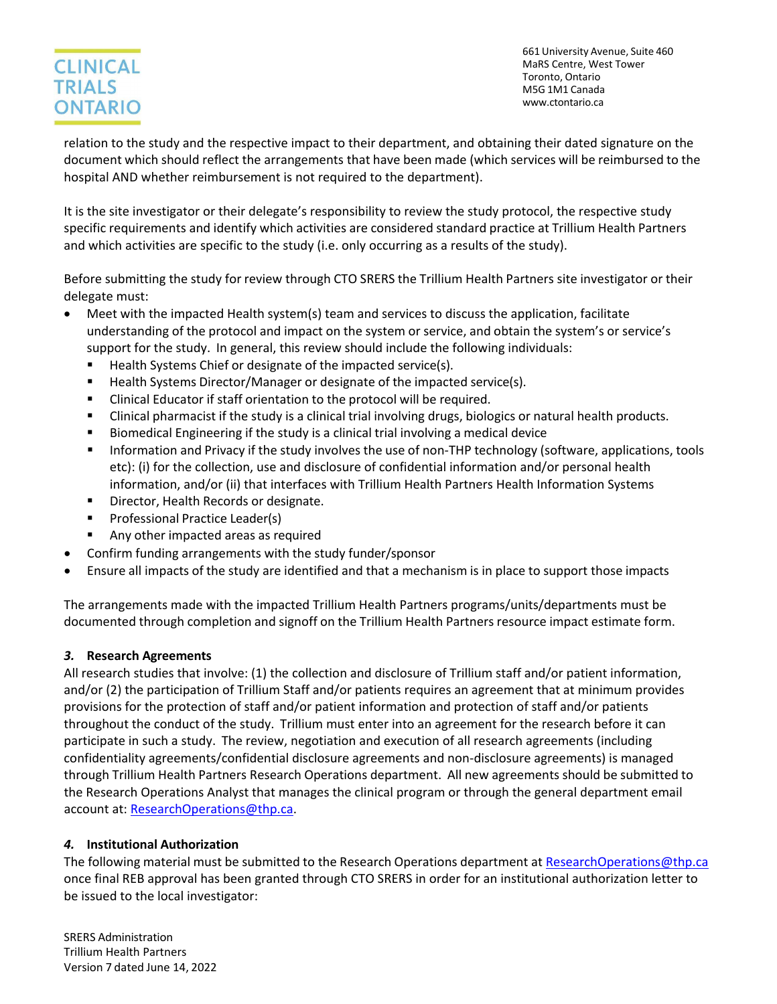## **CLINICAL TRIALS ONTARIO**

661 University Avenue, Suite 460 MaRS Centre, West Tower Toronto, Ontario M5G 1M1 Canada [www.ctontario.ca](http://www.ctontario.ca/)

relation to the study and the respective impact to their department, and obtaining their dated signature on the document which should reflect the arrangements that have been made (which services will be reimbursed to the hospital AND whether reimbursement is not required to the department).

It is the site investigator or their delegate's responsibility to review the study protocol, the respective study specific requirements and identify which activities are considered standard practice at Trillium Health Partners and which activities are specific to the study (i.e. only occurring as a results of the study).

Before submitting the study for review through CTO SRERS the Trillium Health Partners site investigator or their delegate must:

- Meet with the impacted Health system(s) team and services to discuss the application, facilitate understanding of the protocol and impact on the system or service, and obtain the system's or service's support for the study. In general, this review should include the following individuals:
	- Health Systems Chief or designate of the impacted service(s).
	- Health Systems Director/Manager or designate of the impacted service(s).
	- Clinical Educator if staff orientation to the protocol will be required.
	- Clinical pharmacist if the study is a clinical trial involving drugs, biologics or natural health products.
	- Biomedical Engineering if the study is a clinical trial involving a medical device
	- **Information and Privacy if the study involves the use of non-THP technology (software, applications, tools** etc): (i) for the collection, use and disclosure of confidential information and/or personal health information, and/or (ii) that interfaces with Trillium Health Partners Health Information Systems
	- **•** Director, Health Records or designate.
	- **Professional Practice Leader(s)**
	- Any other impacted areas as required
- Confirm funding arrangements with the study funder/sponsor
- Ensure all impacts of the study are identified and that a mechanism is in place to support those impacts

The arrangements made with the impacted Trillium Health Partners programs/units/departments must be documented through completion and signoff on the Trillium Health Partners resource impact estimate form.

## *3.* **Research Agreements**

All research studies that involve: (1) the collection and disclosure of Trillium staff and/or patient information, and/or (2) the participation of Trillium Staff and/or patients requires an agreement that at minimum provides provisions for the protection of staff and/or patient information and protection of staff and/or patients throughout the conduct of the study. Trillium must enter into an agreement for the research before it can participate in such a study. The review, negotiation and execution of all research agreements (including confidentiality agreements/confidential disclosure agreements and non-disclosure agreements) is managed through Trillium Health Partners Research Operations department. All new agreements should be submitted to the Research Operations Analyst that manages the clinical program or through the general department email account at: [ResearchOperations@thp.ca.](mailto:ResearchOperations@thp.ca)

## *4.* **Institutional Authorization**

The following material must be submitted to the Research Operations department at [ResearchOperations@thp.ca](mailto:ResearchOperations@thp.ca) once final REB approval has been granted through CTO SRERS in order for an institutional authorization letter to be issued to the local investigator:

SRERS Administration Trillium Health Partners Version 7 dated June 14, 2022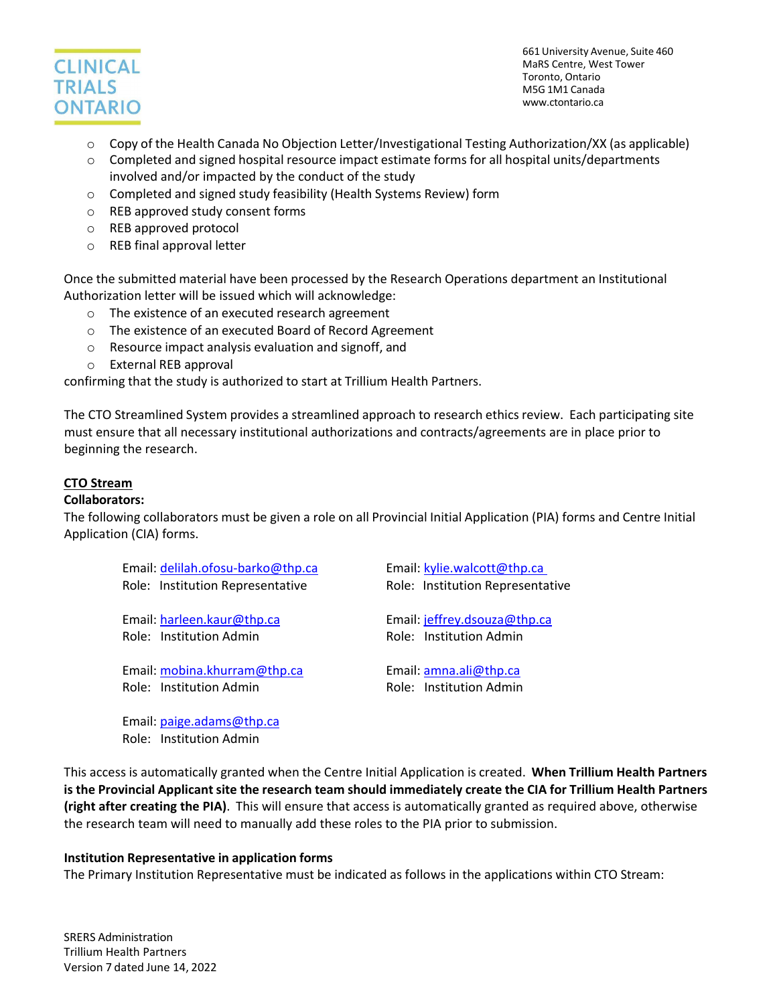

- o Copy of the Health Canada No Objection Letter/Investigational Testing Authorization/XX (as applicable)
- o Completed and signed hospital resource impact estimate forms for all hospital units/departments involved and/or impacted by the conduct of the study
- o Completed and signed study feasibility (Health Systems Review) form
- o REB approved study consent forms
- o REB approved protocol
- o REB final approval letter

Once the submitted material have been processed by the Research Operations department an Institutional Authorization letter will be issued which will acknowledge:

- o The existence of an executed research agreement
- o The existence of an executed Board of Record Agreement
- o Resource impact analysis evaluation and signoff, and
- o External REB approval

confirming that the study is authorized to start at Trillium Health Partners.

The CTO Streamlined System provides a streamlined approach to research ethics review. Each participating site must ensure that all necessary institutional authorizations and contracts/agreements are in place prior to beginning the research.

#### **CTO Stream**

#### **Collaborators:**

The following collaborators must be given a role on all Provincial Initial Application (PIA) forms and Centre Initial Application (CIA) forms.

| Email: delilah.ofosu-barko@thp.ca | Email: kylie.walcott@thp.ca      |
|-----------------------------------|----------------------------------|
| Role: Institution Representative  | Role: Institution Representative |
| Email: harleen.kaur@thp.ca        | Email: jeffrey.dsouza@thp.ca     |
|                                   |                                  |
| Role: Institution Admin           | Role: Institution Admin          |
|                                   |                                  |
| Email: mobina.khurram@thp.ca      | Email: amna.ali@thp.ca           |
| Role: Institution Admin           | Role: Institution Admin          |
|                                   |                                  |
|                                   |                                  |

Email: [paige.adams@thp.ca](mailto:paige.adams@thp.ca) Role: Institution Admin

This access is automatically granted when the Centre Initial Application is created. **When Trillium Health Partners is the Provincial Applicant site the research team should immediately create the CIA for Trillium Health Partners (right after creating the PIA)**. This will ensure that access is automatically granted as required above, otherwise the research team will need to manually add these roles to the PIA prior to submission.

#### **Institution Representative in application forms**

The Primary Institution Representative must be indicated as follows in the applications within CTO Stream: